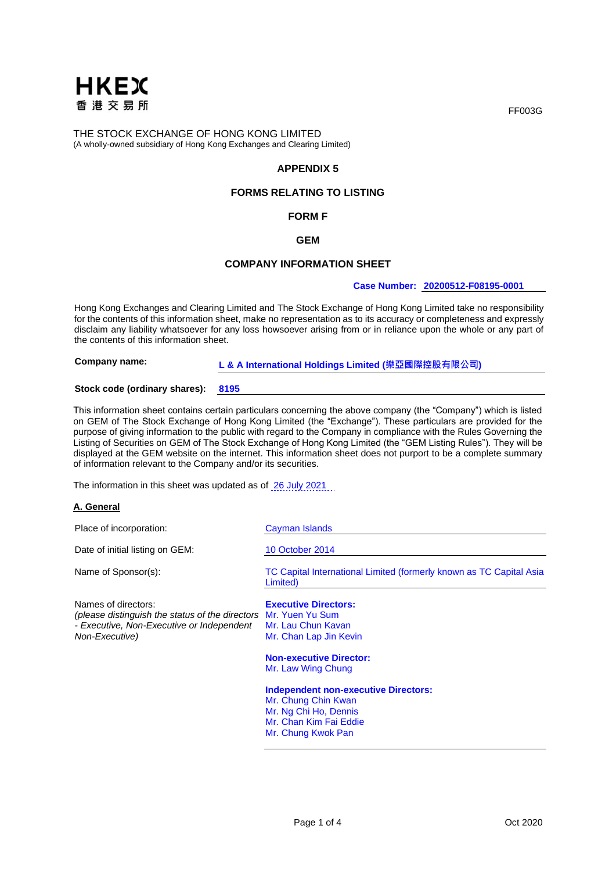

# **APPENDIX 5**

# **FORMS RELATING TO LISTING**

# **FORM F**

## **GEM**

# **COMPANY INFORMATION SHEET**

#### **Case Number: 20200512-F08195-0001**

Hong Kong Exchanges and Clearing Limited and The Stock Exchange of Hong Kong Limited take no responsibility for the contents of this information sheet, make no representation as to its accuracy or completeness and expressly disclaim any liability whatsoever for any loss howsoever arising from or in reliance upon the whole or any part of the contents of this information sheet.

**Company name: L & A International Holdings Limited (樂亞國際控股有限公司)**

#### **Stock code (ordinary shares): 8195**

This information sheet contains certain particulars concerning the above company (the "Company") which is listed on GEM of The Stock Exchange of Hong Kong Limited (the "Exchange"). These particulars are provided for the purpose of giving information to the public with regard to the Company in compliance with the Rules Governing the Listing of Securities on GEM of The Stock Exchange of Hong Kong Limited (the "GEM Listing Rules"). They will be displayed at the GEM website on the internet. This information sheet does not purport to be a complete summary of information relevant to the Company and/or its securities.

The information in this sheet was updated as of 26 July 2021.

#### **A. General**

| Place of incorporation:                                                                                                                               | Cayman Islands                                                                                                                              |
|-------------------------------------------------------------------------------------------------------------------------------------------------------|---------------------------------------------------------------------------------------------------------------------------------------------|
| Date of initial listing on GEM:                                                                                                                       | 10 October 2014                                                                                                                             |
| Name of Sponsor(s):                                                                                                                                   | TC Capital International Limited (formerly known as TC Capital Asia<br>Limited)                                                             |
| Names of directors:<br>(please distinguish the status of the directors Mr. Yuen Yu Sum<br>- Executive, Non-Executive or Independent<br>Non-Executive) | <b>Executive Directors:</b><br>Mr. Lau Chun Kavan<br>Mr. Chan Lap Jin Kevin                                                                 |
|                                                                                                                                                       | <b>Non-executive Director:</b><br>Mr. Law Wing Chung                                                                                        |
|                                                                                                                                                       | <b>Independent non-executive Directors:</b><br>Mr. Chung Chin Kwan<br>Mr. Ng Chi Ho, Dennis<br>Mr. Chan Kim Fai Eddie<br>Mr. Chung Kwok Pan |

FF003G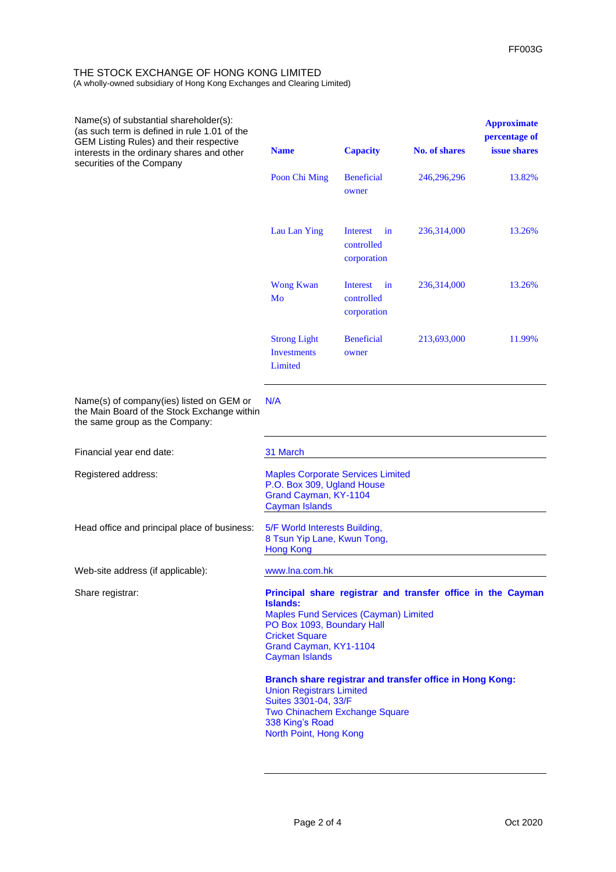| Name(s) of substantial shareholder(s):<br>(as such term is defined in rule 1.01 of the<br>GEM Listing Rules) and their respective<br>interests in the ordinary shares and other<br>securities of the Company | <b>Name</b>                                                                                                                                                                                                                              | <b>Capacity</b>                             | <b>No. of shares</b> | <b>Approximate</b><br>percentage of<br><i>issue shares</i> |
|--------------------------------------------------------------------------------------------------------------------------------------------------------------------------------------------------------------|------------------------------------------------------------------------------------------------------------------------------------------------------------------------------------------------------------------------------------------|---------------------------------------------|----------------------|------------------------------------------------------------|
|                                                                                                                                                                                                              | Poon Chi Ming                                                                                                                                                                                                                            | <b>Beneficial</b><br>owner                  | 246,296,296          | 13.82%                                                     |
|                                                                                                                                                                                                              | Lau Lan Ying                                                                                                                                                                                                                             | Interest<br>in<br>controlled<br>corporation | 236,314,000          | 13.26%                                                     |
|                                                                                                                                                                                                              | <b>Wong Kwan</b><br>Mo                                                                                                                                                                                                                   | Interest<br>in<br>controlled<br>corporation | 236,314,000          | 13.26%                                                     |
|                                                                                                                                                                                                              | <b>Strong Light</b><br><b>Investments</b><br>Limited                                                                                                                                                                                     | <b>Beneficial</b><br>owner                  | 213,693,000          | 11.99%                                                     |
| Name(s) of company(ies) listed on GEM or<br>the Main Board of the Stock Exchange within<br>the same group as the Company:                                                                                    | N/A                                                                                                                                                                                                                                      |                                             |                      |                                                            |
| Financial year end date:                                                                                                                                                                                     | 31 March                                                                                                                                                                                                                                 |                                             |                      |                                                            |
| Registered address:                                                                                                                                                                                          | <b>Maples Corporate Services Limited</b><br>P.O. Box 309, Ugland House<br>Grand Cayman, KY-1104<br><b>Cayman Islands</b>                                                                                                                 |                                             |                      |                                                            |
| Head office and principal place of business:                                                                                                                                                                 | 5/F World Interests Building,<br>8 Tsun Yip Lane, Kwun Tong,<br><b>Hong Kong</b>                                                                                                                                                         |                                             |                      |                                                            |
| Web-site address (if applicable):                                                                                                                                                                            | www.lna.com.hk                                                                                                                                                                                                                           |                                             |                      |                                                            |
| Share registrar:                                                                                                                                                                                             | Principal share registrar and transfer office in the Cayman<br><b>Islands:</b><br><b>Maples Fund Services (Cayman) Limited</b><br>PO Box 1093, Boundary Hall<br><b>Cricket Square</b><br>Grand Cayman, KY1-1104<br><b>Cayman Islands</b> |                                             |                      |                                                            |
|                                                                                                                                                                                                              | Branch share registrar and transfer office in Hong Kong:<br><b>Union Registrars Limited</b><br>Suites 3301-04, 33/F<br>Two Chinachem Exchange Square<br>338 King's Road<br>North Point, Hong Kong                                        |                                             |                      |                                                            |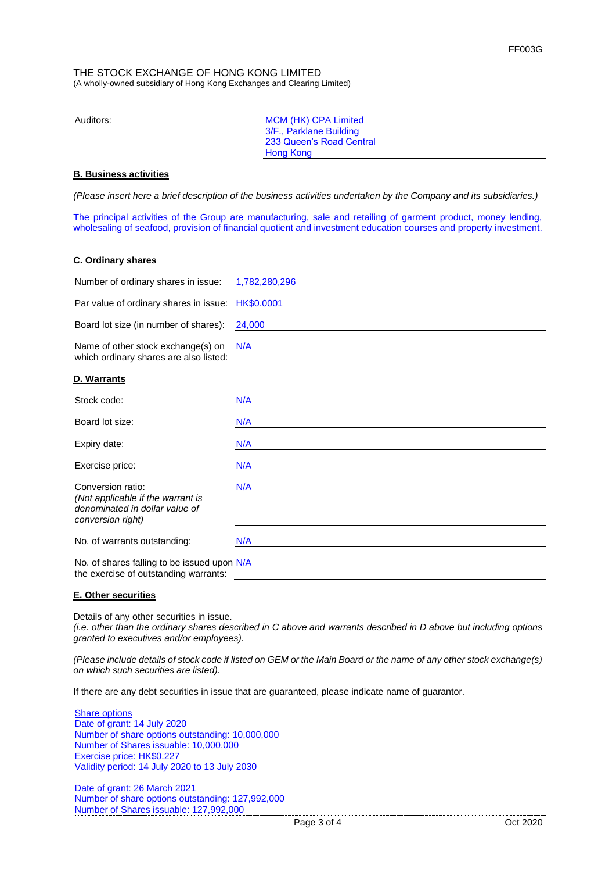| Auditors: | MCM (HK) CPA Limited     |
|-----------|--------------------------|
|           | 3/F., Parklane Building  |
|           | 233 Queen's Road Central |
|           | Hong Kong                |

# **B. Business activities**

*(Please insert here a brief description of the business activities undertaken by the Company and its subsidiaries.)*

The principal activities of the Group are manufacturing, sale and retailing of garment product, money lending, wholesaling of seafood, provision of financial quotient and investment education courses and property investment.

## **C. Ordinary shares**

| Number of ordinary shares in issue:                                                                           | 1,782,280,296 |
|---------------------------------------------------------------------------------------------------------------|---------------|
| Par value of ordinary shares in issue:                                                                        | HK\$0.0001    |
| Board lot size (in number of shares):                                                                         | 24,000        |
| Name of other stock exchange(s) on<br>which ordinary shares are also listed:                                  | N/A           |
| D. Warrants                                                                                                   |               |
| Stock code:                                                                                                   | N/A           |
| Board lot size:                                                                                               | N/A           |
| Expiry date:                                                                                                  | N/A           |
| Exercise price:                                                                                               | N/A           |
| Conversion ratio:<br>(Not applicable if the warrant is<br>denominated in dollar value of<br>conversion right) | N/A           |
| No. of warrants outstanding:                                                                                  | N/A           |
| No. of shares falling to be issued upon N/A<br>the exercise of outstanding warrants:                          |               |

### **E. Other securities**

Details of any other securities in issue.

*(i.e. other than the ordinary shares described in C above and warrants described in D above but including options granted to executives and/or employees).*

*(Please include details of stock code if listed on GEM or the Main Board or the name of any other stock exchange(s) on which such securities are listed).*

If there are any debt securities in issue that are guaranteed, please indicate name of guarantor.

Share options Date of grant: 14 July 2020 Number of share options outstanding: 10,000,000 Number of Shares issuable: 10,000,000 Exercise price: HK\$0.227 Validity period: 14 July 2020 to 13 July 2030

Date of grant: 26 March 2021 Number of share options outstanding: 127,992,000 Number of Shares issuable: 127,992,000